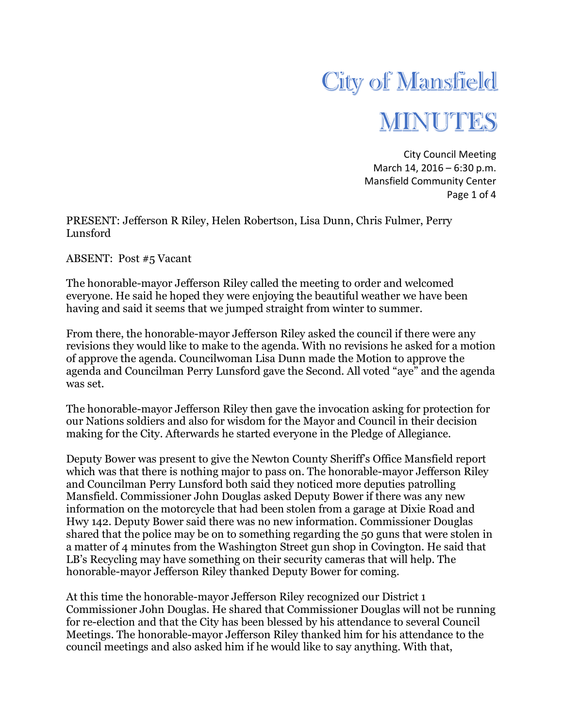

City Council Meeting March 14, 2016 – 6:30 p.m. Mansfield Community Center Page 1 of 4

PRESENT: Jefferson R Riley, Helen Robertson, Lisa Dunn, Chris Fulmer, Perry Lunsford

ABSENT: Post #5 Vacant

The honorable-mayor Jefferson Riley called the meeting to order and welcomed everyone. He said he hoped they were enjoying the beautiful weather we have been having and said it seems that we jumped straight from winter to summer.

From there, the honorable-mayor Jefferson Riley asked the council if there were any revisions they would like to make to the agenda. With no revisions he asked for a motion of approve the agenda. Councilwoman Lisa Dunn made the Motion to approve the agenda and Councilman Perry Lunsford gave the Second. All voted "aye" and the agenda was set.

The honorable-mayor Jefferson Riley then gave the invocation asking for protection for our Nations soldiers and also for wisdom for the Mayor and Council in their decision making for the City. Afterwards he started everyone in the Pledge of Allegiance.

Deputy Bower was present to give the Newton County Sheriff's Office Mansfield report which was that there is nothing major to pass on. The honorable-mayor Jefferson Riley and Councilman Perry Lunsford both said they noticed more deputies patrolling Mansfield. Commissioner John Douglas asked Deputy Bower if there was any new information on the motorcycle that had been stolen from a garage at Dixie Road and Hwy 142. Deputy Bower said there was no new information. Commissioner Douglas shared that the police may be on to something regarding the 50 guns that were stolen in a matter of 4 minutes from the Washington Street gun shop in Covington. He said that LB's Recycling may have something on their security cameras that will help. The honorable-mayor Jefferson Riley thanked Deputy Bower for coming.

At this time the honorable-mayor Jefferson Riley recognized our District 1 Commissioner John Douglas. He shared that Commissioner Douglas will not be running for re-election and that the City has been blessed by his attendance to several Council Meetings. The honorable-mayor Jefferson Riley thanked him for his attendance to the council meetings and also asked him if he would like to say anything. With that,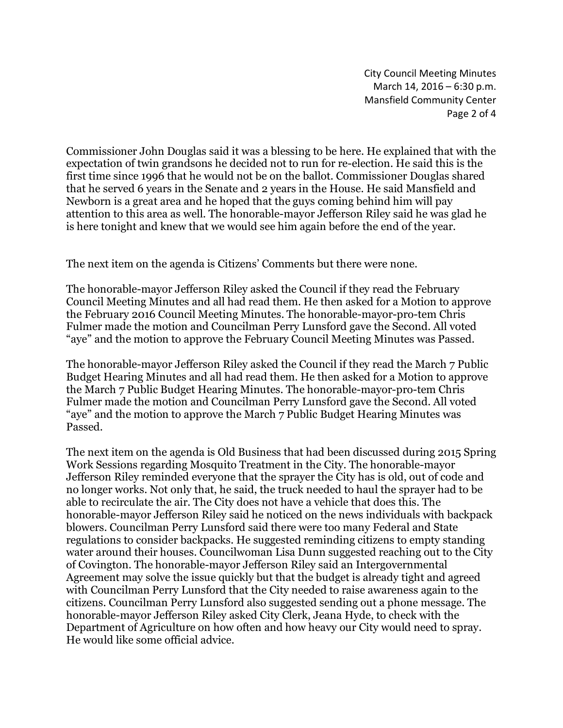City Council Meeting Minutes March 14, 2016 – 6:30 p.m. Mansfield Community Center Page 2 of 4

Commissioner John Douglas said it was a blessing to be here. He explained that with the expectation of twin grandsons he decided not to run for re-election. He said this is the first time since 1996 that he would not be on the ballot. Commissioner Douglas shared that he served 6 years in the Senate and 2 years in the House. He said Mansfield and Newborn is a great area and he hoped that the guys coming behind him will pay attention to this area as well. The honorable-mayor Jefferson Riley said he was glad he is here tonight and knew that we would see him again before the end of the year.

The next item on the agenda is Citizens' Comments but there were none.

The honorable-mayor Jefferson Riley asked the Council if they read the February Council Meeting Minutes and all had read them. He then asked for a Motion to approve the February 2016 Council Meeting Minutes. The honorable-mayor-pro-tem Chris Fulmer made the motion and Councilman Perry Lunsford gave the Second. All voted "aye" and the motion to approve the February Council Meeting Minutes was Passed.

The honorable-mayor Jefferson Riley asked the Council if they read the March 7 Public Budget Hearing Minutes and all had read them. He then asked for a Motion to approve the March 7 Public Budget Hearing Minutes. The honorable-mayor-pro-tem Chris Fulmer made the motion and Councilman Perry Lunsford gave the Second. All voted "aye" and the motion to approve the March 7 Public Budget Hearing Minutes was Passed.

The next item on the agenda is Old Business that had been discussed during 2015 Spring Work Sessions regarding Mosquito Treatment in the City. The honorable-mayor Jefferson Riley reminded everyone that the sprayer the City has is old, out of code and no longer works. Not only that, he said, the truck needed to haul the sprayer had to be able to recirculate the air. The City does not have a vehicle that does this. The honorable-mayor Jefferson Riley said he noticed on the news individuals with backpack blowers. Councilman Perry Lunsford said there were too many Federal and State regulations to consider backpacks. He suggested reminding citizens to empty standing water around their houses. Councilwoman Lisa Dunn suggested reaching out to the City of Covington. The honorable-mayor Jefferson Riley said an Intergovernmental Agreement may solve the issue quickly but that the budget is already tight and agreed with Councilman Perry Lunsford that the City needed to raise awareness again to the citizens. Councilman Perry Lunsford also suggested sending out a phone message. The honorable-mayor Jefferson Riley asked City Clerk, Jeana Hyde, to check with the Department of Agriculture on how often and how heavy our City would need to spray. He would like some official advice.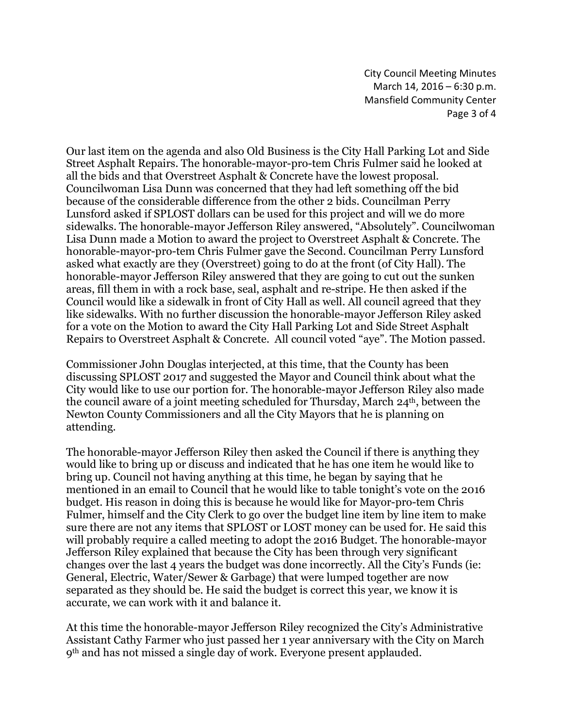City Council Meeting Minutes March 14, 2016 – 6:30 p.m. Mansfield Community Center Page 3 of 4

Our last item on the agenda and also Old Business is the City Hall Parking Lot and Side Street Asphalt Repairs. The honorable-mayor-pro-tem Chris Fulmer said he looked at all the bids and that Overstreet Asphalt & Concrete have the lowest proposal. Councilwoman Lisa Dunn was concerned that they had left something off the bid because of the considerable difference from the other 2 bids. Councilman Perry Lunsford asked if SPLOST dollars can be used for this project and will we do more sidewalks. The honorable-mayor Jefferson Riley answered, "Absolutely". Councilwoman Lisa Dunn made a Motion to award the project to Overstreet Asphalt & Concrete. The honorable-mayor-pro-tem Chris Fulmer gave the Second. Councilman Perry Lunsford asked what exactly are they (Overstreet) going to do at the front (of City Hall). The honorable-mayor Jefferson Riley answered that they are going to cut out the sunken areas, fill them in with a rock base, seal, asphalt and re-stripe. He then asked if the Council would like a sidewalk in front of City Hall as well. All council agreed that they like sidewalks. With no further discussion the honorable-mayor Jefferson Riley asked for a vote on the Motion to award the City Hall Parking Lot and Side Street Asphalt Repairs to Overstreet Asphalt & Concrete. All council voted "aye". The Motion passed.

Commissioner John Douglas interjected, at this time, that the County has been discussing SPLOST 2017 and suggested the Mayor and Council think about what the City would like to use our portion for. The honorable-mayor Jefferson Riley also made the council aware of a joint meeting scheduled for Thursday, March  $24<sup>th</sup>$ , between the Newton County Commissioners and all the City Mayors that he is planning on attending.

The honorable-mayor Jefferson Riley then asked the Council if there is anything they would like to bring up or discuss and indicated that he has one item he would like to bring up. Council not having anything at this time, he began by saying that he mentioned in an email to Council that he would like to table tonight's vote on the 2016 budget. His reason in doing this is because he would like for Mayor-pro-tem Chris Fulmer, himself and the City Clerk to go over the budget line item by line item to make sure there are not any items that SPLOST or LOST money can be used for. He said this will probably require a called meeting to adopt the 2016 Budget. The honorable-mayor Jefferson Riley explained that because the City has been through very significant changes over the last 4 years the budget was done incorrectly. All the City's Funds (ie: General, Electric, Water/Sewer & Garbage) that were lumped together are now separated as they should be. He said the budget is correct this year, we know it is accurate, we can work with it and balance it.

At this time the honorable-mayor Jefferson Riley recognized the City's Administrative Assistant Cathy Farmer who just passed her 1 year anniversary with the City on March 9th and has not missed a single day of work. Everyone present applauded.